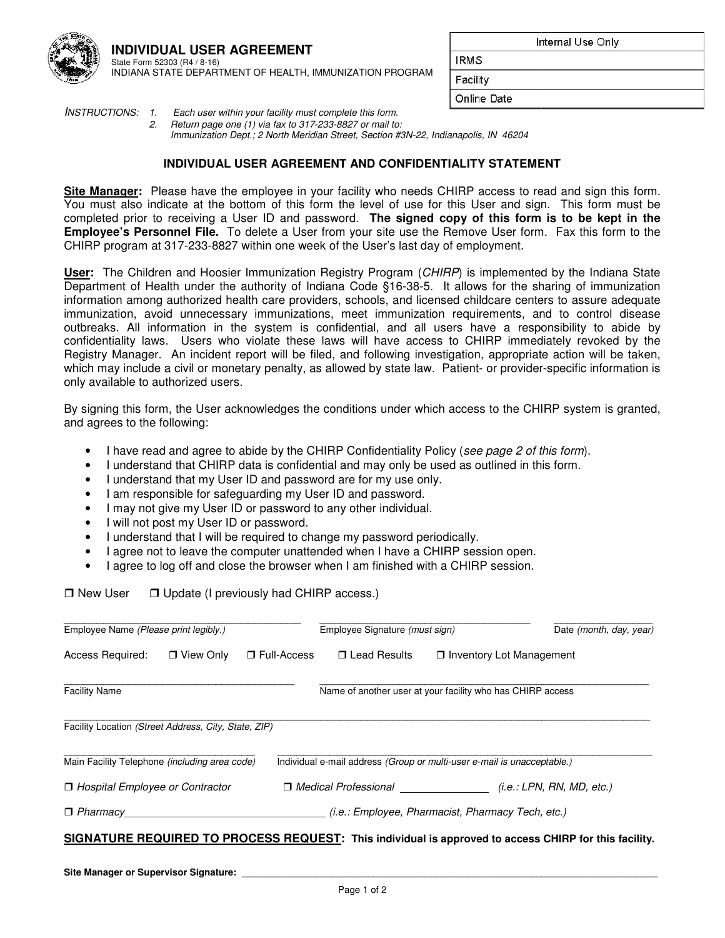

Internal Use Only

**\_\_\_\_\_\_\_\_\_\_\_\_\_\_\_\_\_\_\_\_\_\_\_\_\_** 

**IRMS** 

| Facility |  |
|----------|--|

Online Date

INSTRUCTIONS: 1. Each user within your facility must complete this form. 2. Return page one (1) via fax to 317-233-8827 or mail to: Immunization Dept.; 2 North Meridian Street, Section #3N-22, Indianapolis, IN 46204

# **INDIVIDUAL USER AGREEMENT AND CONFIDENTIALITY STATEMENT**

Site Manager: Please have the employee in your facility who needs CHIRP access to read and sign this form. You must also indicate at the bottom of this form the level of use for this User and sign. This form must be You must also indicate at the bottom of this form the level of use for this User and sign. This form must be<br>completed prior to receiving a User ID and password. **The signed copy of this form is to be kept in the Employee's Personnel File.** To delete a User from your site use the Remove User form. Fax this form to the CHIRP program at 317-233-8827 within one week of the User's last day of employment.

CHIRP program at 317-233-8827 within one week of the User's last day of employment.<br><mark>User</mark>: The Children and Hoosier Immunization Registry Program (*CHIRP*) is implemented by the Indiana State Department of Health under the authority of Indiana Code §16-38-5. It allows for the sharing of immunization information among authorized health care providers, schools, and licensed childcare centers to assure adequate immunization, avoid unnecessary immunizations, meet immunization requirements, and to control disease outbreaks. All information in the system is confidential, and all users have a responsibility to abide by immunization, avoid unnecessary immunizations, meet immunization requirements, and to control disease<br>outbreaks. All information in the system is confidential, and all users have a responsibility to abide by<br>confidentialit Registry Manager. An incident report will be filed, and following investigation, appropriate action will be taken, Registry Manager. An incident report will be filed, and following investigation, appropriate action will be<br>which may include a civil or monetary penalty, as allowed by state law. Patient- or provider-specific informa only available to authorized users. 5. It allows for the sharing of immunization<br>censed childcare centers to assure adequate<br>tition requirements, and to control disease<br>I users have a responsibility to abide by<br>tess to CHIRP immediately revoked by the<br>vestig

By signing this form, the User acknowledges the conditions under which access to the CHIRP system is granted, and agrees to the following: exigning this form, the User acknowledges the conditions under which access to the CHIRP system is granted, agrees to the following:<br>
• I have read and agree to abide by the CHIRP Confidentiality Policy (see page 2 of this

- 
- I understand that CHIRP data is confidential and may only be used as outlined in this form.
- I understand that my User ID and password are for my use only.
- I understand that my User ID and password are for my use or<br>• I am responsible for safeguarding my User ID and password.
- I may not give my User ID or password to any other individual.
- I will not post my User ID or password.
- I may not give my User ID or password to any other individual.<br>• I will not post my User ID or password.<br>• I understand that I will be required to change my password periodically.
- I agree not to leave the computer unattended when I have a CHIRP session open.
- I agree to log off and close the browser when I am finished with a CHIRP session.

 $\Box$  New User  $\Box$  Update (I previously had CHIRP access.)

| Employee Name (Please print legibly.)                |                  |                    | Employee Signature (must sign)                                          |  | Date (month, day, year)                                                                               |  |
|------------------------------------------------------|------------------|--------------------|-------------------------------------------------------------------------|--|-------------------------------------------------------------------------------------------------------|--|
| Access Required:                                     | $\Box$ View Only | $\Box$ Full-Access | □ Lead Results<br>□ Inventory Lot Management                            |  |                                                                                                       |  |
| <b>Facility Name</b>                                 |                  |                    | Name of another user at your facility who has CHIRP access              |  |                                                                                                       |  |
| Facility Location (Street Address, City, State, ZIP) |                  |                    |                                                                         |  |                                                                                                       |  |
| Main Facility Telephone (including area code)        |                  |                    | Individual e-mail address (Group or multi-user e-mail is unacceptable.) |  |                                                                                                       |  |
| □ Hospital Employee or Contractor                    |                  |                    | □ Medical Professional (i.e.: LPN, RN, MD, etc.)                        |  |                                                                                                       |  |
| $\Box$ Pharmacy                                      |                  |                    | <i>(i.e.: Employee, Pharmacist, Pharmacy Tech, etc.)</i>                |  |                                                                                                       |  |
|                                                      |                  |                    |                                                                         |  | SIGNATURE REQUIRED TO PROCESS REQUEST: This individual is approved to access CHIRP for this facility. |  |
|                                                      |                  |                    |                                                                         |  |                                                                                                       |  |

**\_\_\_\_\_\_\_\_\_\_\_\_\_\_\_\_\_\_\_\_\_\_\_\_\_\_\_\_\_\_\_\_\_\_\_\_\_\_\_\_\_\_\_\_\_\_\_\_\_\_\_\_\_\_\_\_\_\_\_\_**